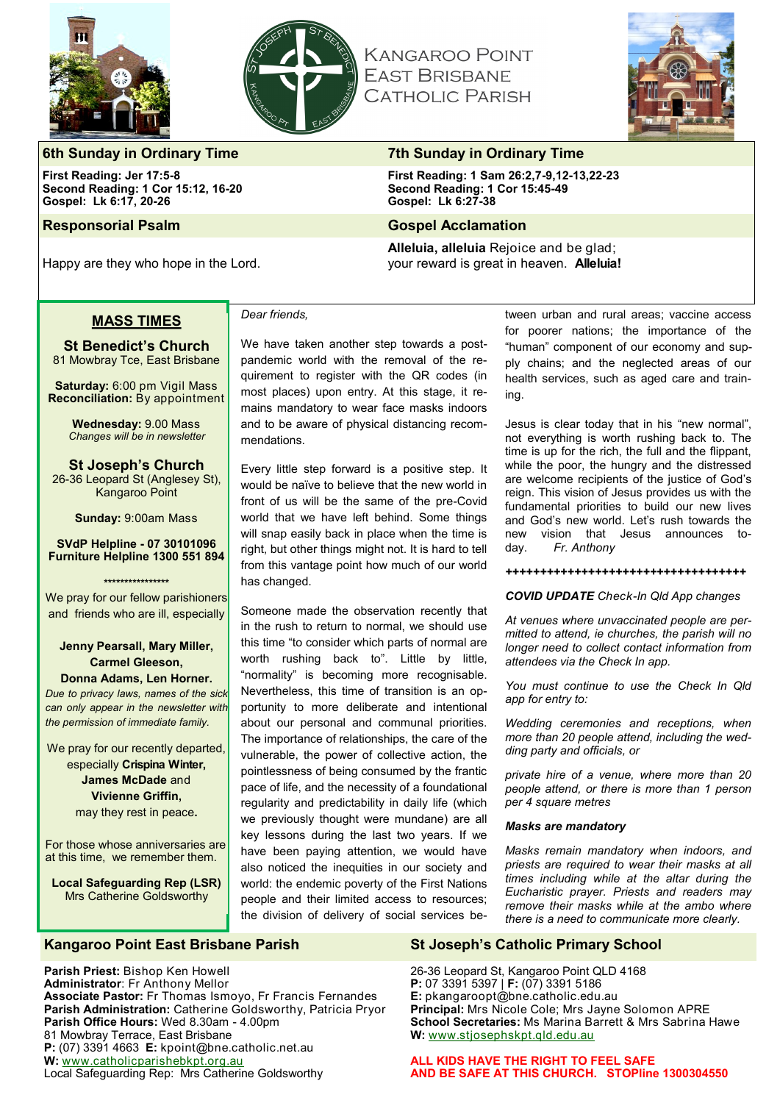



*Dear friends,*

# **KANGAROO POINT EAST BRISBANE CATHOLIC PARISH**



# **6th Sunday in Ordinary Time 7th Sunday in Ordinary Time**

**First Reading: Jer 17:5-8 Second Reading: 1 Cor 15:12, 16-20 Gospel: Lk 6:17, 20-26**

### **Responsorial Psalm Gospel Acclamation**

Happy are they who hope in the Lord.

# **MASS TIMES**

**St Benedict's Church**  81 Mowbray Tce, East Brisbane

**Saturday:** 6:00 pm Vigil Mass **Reconciliation:** By appointment

> **Wednesday:** 9.00 Mass *Changes will be in newsletter*

**St Joseph's Church**  26-36 Leopard St (Anglesey St), Kangaroo Point

**Sunday:** 9:00am Mass

**SVdP Helpline - 07 30101096 Furniture Helpline 1300 551 894** 

**\*\*\*\*\*\*\*\*\*\*\*\*\*\*\*\***

We pray for our fellow parishioners and friends who are ill, especially

## **Jenny Pearsall, Mary Miller, Carmel Gleeson,**

**Donna Adams, Len Horner.** *Due to privacy laws, names of the sick can only appear in the newsletter with the permission of immediate family.*

We pray for our recently departed, especially **Crispina Winter, James McDade** and **Vivienne Griffin,** may they rest in peace**.**

For those whose anniversaries are at this time, we remember them.

**Local Safeguarding Rep (LSR)** Mrs Catherine Goldsworthy

**First Reading: 1 Sam 26:2,7-9,12-13,22-23 Second Reading: 1 Cor 15:45-49 Gospel: Lk 6:27-38**

**Alleluia, alleluia** Rejoice and be glad; your reward is great in heaven. **Alleluia!**

We have taken another step towards a postpandemic world with the removal of the requirement to register with the QR codes (in most places) upon entry. At this stage, it remains mandatory to wear face masks indoors and to be aware of physical distancing recommendations.

Every little step forward is a positive step. It would be naïve to believe that the new world in front of us will be the same of the pre-Covid world that we have left behind. Some things will snap easily back in place when the time is right, but other things might not. It is hard to tell from this vantage point how much of our world has changed.

Someone made the observation recently that in the rush to return to normal, we should use this time "to consider which parts of normal are worth rushing back to". Little by little, "normality" is becoming more recognisable. Nevertheless, this time of transition is an opportunity to more deliberate and intentional about our personal and communal priorities. The importance of relationships, the care of the vulnerable, the power of collective action, the pointlessness of being consumed by the frantic pace of life, and the necessity of a foundational regularity and predictability in daily life (which we previously thought were mundane) are all key lessons during the last two years. If we have been paying attention, we would have also noticed the inequities in our society and world: the endemic poverty of the First Nations people and their limited access to resources; the division of delivery of social services between urban and rural areas; vaccine access for poorer nations; the importance of the "human" component of our economy and supply chains; and the neglected areas of our health services, such as aged care and training.

Jesus is clear today that in his "new normal", not everything is worth rushing back to. The time is up for the rich, the full and the flippant, while the poor, the hungry and the distressed are welcome recipients of the justice of God's reign. This vision of Jesus provides us with the fundamental priorities to build our new lives and God's new world. Let's rush towards the new vision that Jesus announces today. *Fr. Anthony*

### *+++++++++++++++++++++++++++++++++++*

### *COVID UPDATE Check-In Qld App changes*

*At venues where unvaccinated people are permitted to attend, ie churches, the parish will no longer need to collect contact information from attendees via the Check In app.*

*You must continue to use the Check In Qld app for entry to:*

*Wedding ceremonies and receptions, when more than 20 people attend, including the wedding party and officials, or*

*private hire of a venue, where more than 20 people attend, or there is more than 1 person per 4 square metres*

### *Masks are mandatory*

*Masks remain mandatory when indoors, and priests are required to wear their masks at all times including while at the altar during the Eucharistic prayer. Priests and readers may remove their masks while at the ambo where there is a need to communicate more clearly.* 

## **Kangaroo Point East Brisbane Parish St Joseph's Catholic Primary School**

**Parish Priest:** Bishop Ken Howell **Administrator**: Fr Anthony Mellor **Associate Pastor:** Fr Thomas Ismoyo, Fr Francis Fernandes **Parish Administration:** Catherine Goldsworthy, Patricia Pryor **Parish Office Hours:** Wed 8.30am - 4.00pm 81 Mowbray Terrace, East Brisbane **P:** (07) 3391 4663 **E:** kpoint@bne.catholic.net.au **W:** [www.catholicparishebkpt.org.au](http://www.catholicparishebkpt.org.au) Local Safeguarding Rep: Mrs Catherine Goldsworthy

26-36 Leopard St, Kangaroo Point QLD 4168 **P:** 07 3391 5397 | **F:** (07) 3391 5186 **E:** pkangaroopt@bne.catholic.edu.au **Principal:** Mrs Nicole Cole; Mrs Jayne Solomon APRE **School Secretaries:** Ms Marina Barrett & Mrs Sabrina Hawe **W:** [www.stjosephskpt.qld.edu.au](http://www.stjosephskpt.qld.edu.au)

**ALL KIDS HAVE THE RIGHT TO FEEL SAFE AND BE SAFE AT THIS CHURCH. STOPline 1300304550**